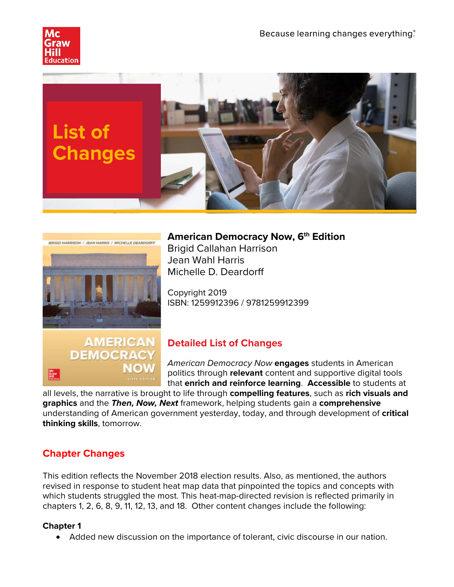





## **American Democracy Now, 6<sup>th</sup> Edition**

Brigid Callahan Harrison Jean Wahl Harris Michelle D. Deardorff

Copyright 2019 ISBN: 1259912396 / 9781259912399



# **Detailed List of Changes**

*American Democracy Now* **engages** students in American politics through **relevant** content and supportive digital tools that **enrich and reinforce learning**. **Accessible** to students at

all levels, the narrative is brought to life through **compelling features**, such as **rich visuals and graphics** and the *Then, Now, Next* framework, helping students gain a **comprehensive** understanding of American government yesterday, today, and through development of **critical thinking skills**, tomorrow.

# **Chapter Changes**

This edition reflects the November 2018 election results. Also, as mentioned, the authors revised in response to student heat map data that pinpointed the topics and concepts with which students struggled the most. This heat-map-directed revision is reflected primarily in chapters 1, 2, 6, 8, 9, 11, 12, 13, and 18. Other content changes include the following:

#### **Chapter 1**

• Added new discussion on the importance of tolerant, civic discourse in our nation.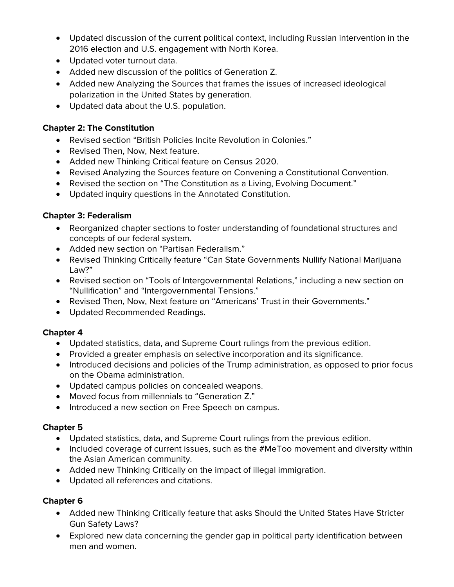- Updated discussion of the current political context, including Russian intervention in the 2016 election and U.S. engagement with North Korea.
- Updated voter turnout data.
- Added new discussion of the politics of Generation Z.
- Added new Analyzing the Sources that frames the issues of increased ideological polarization in the United States by generation.
- Updated data about the U.S. population.

#### **Chapter 2: The Constitution**

- Revised section "British Policies Incite Revolution in Colonies."
- Revised Then, Now, Next feature.
- Added new Thinking Critical feature on Census 2020.
- Revised Analyzing the Sources feature on Convening a Constitutional Convention.
- Revised the section on "The Constitution as a Living, Evolving Document."
- Updated inquiry questions in the Annotated Constitution.

### **Chapter 3: Federalism**

- Reorganized chapter sections to foster understanding of foundational structures and concepts of our federal system.
- Added new section on "Partisan Federalism."
- Revised Thinking Critically feature "Can State Governments Nullify National Marijuana Law?"
- Revised section on "Tools of Intergovernmental Relations," including a new section on "Nullification" and "Intergovernmental Tensions."
- Revised Then, Now, Next feature on "Americans' Trust in their Governments."
- Updated Recommended Readings.

#### **Chapter 4**

- Updated statistics, data, and Supreme Court rulings from the previous edition.
- Provided a greater emphasis on selective incorporation and its significance.
- Introduced decisions and policies of the Trump administration, as opposed to prior focus on the Obama administration.
- Updated campus policies on concealed weapons.
- Moved focus from millennials to "Generation Z."
- Introduced a new section on Free Speech on campus.

#### **Chapter 5**

- Updated statistics, data, and Supreme Court rulings from the previous edition.
- Included coverage of current issues, such as the #MeToo movement and diversity within the Asian American community.
- Added new Thinking Critically on the impact of illegal immigration.
- Updated all references and citations.

## **Chapter 6**

- Added new Thinking Critically feature that asks Should the United States Have Stricter Gun Safety Laws?
- Explored new data concerning the gender gap in political party identification between men and women.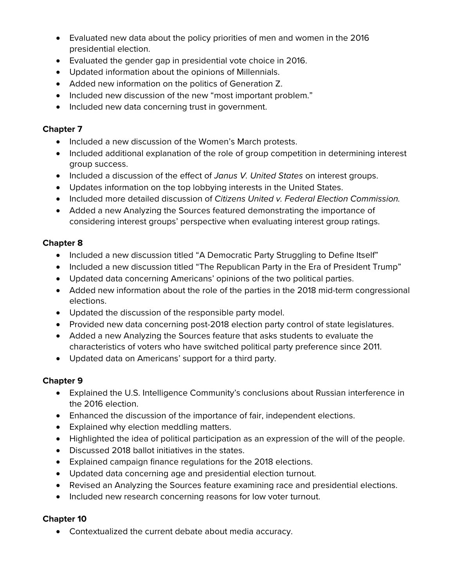- Evaluated new data about the policy priorities of men and women in the 2016 presidential election.
- Evaluated the gender gap in presidential vote choice in 2016.
- Updated information about the opinions of Millennials.
- Added new information on the politics of Generation Z.
- Included new discussion of the new "most important problem."
- Included new data concerning trust in government.

#### **Chapter 7**

- Included a new discussion of the Women's March protests.
- Included additional explanation of the role of group competition in determining interest group success.
- Included a discussion of the effect of *Janus V. United States* on interest groups.
- Updates information on the top lobbying interests in the United States.
- Included more detailed discussion of *Citizens United v. Federal Election Commission.*
- Added a new Analyzing the Sources featured demonstrating the importance of considering interest groups' perspective when evaluating interest group ratings.

#### **Chapter 8**

- Included a new discussion titled "A Democratic Party Struggling to Define Itself"
- Included a new discussion titled "The Republican Party in the Era of President Trump"
- Updated data concerning Americans' opinions of the two political parties.
- Added new information about the role of the parties in the 2018 mid-term congressional elections.
- Updated the discussion of the responsible party model.
- Provided new data concerning post-2018 election party control of state legislatures.
- Added a new Analyzing the Sources feature that asks students to evaluate the characteristics of voters who have switched political party preference since 2011.
- Updated data on Americans' support for a third party.

#### **Chapter 9**

- Explained the U.S. Intelligence Community's conclusions about Russian interference in the 2016 election.
- Enhanced the discussion of the importance of fair, independent elections.
- Explained why election meddling matters.
- Highlighted the idea of political participation as an expression of the will of the people.
- Discussed 2018 ballot initiatives in the states.
- Explained campaign finance regulations for the 2018 elections.
- Updated data concerning age and presidential election turnout.
- Revised an Analyzing the Sources feature examining race and presidential elections.
- Included new research concerning reasons for low voter turnout.

#### **Chapter 10**

• Contextualized the current debate about media accuracy.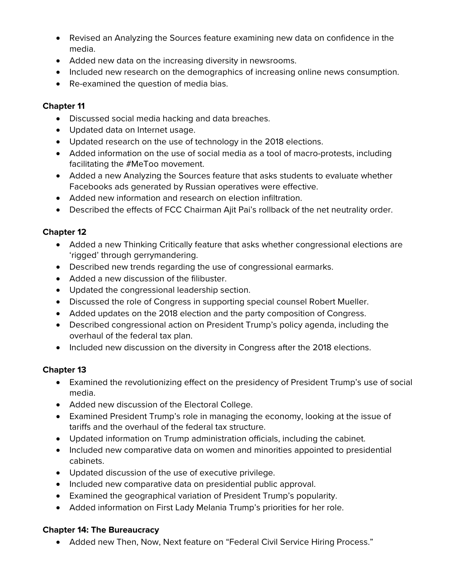- Revised an Analyzing the Sources feature examining new data on confidence in the media.
- Added new data on the increasing diversity in newsrooms.
- Included new research on the demographics of increasing online news consumption.
- Re-examined the question of media bias.

#### **Chapter 11**

- Discussed social media hacking and data breaches.
- Updated data on Internet usage.
- Updated research on the use of technology in the 2018 elections.
- Added information on the use of social media as a tool of macro-protests, including facilitating the #MeToo movement.
- Added a new Analyzing the Sources feature that asks students to evaluate whether Facebooks ads generated by Russian operatives were effective.
- Added new information and research on election infiltration.
- Described the effects of FCC Chairman Ajit Pai's rollback of the net neutrality order.

### **Chapter 12**

- Added a new Thinking Critically feature that asks whether congressional elections are 'rigged' through gerrymandering.
- Described new trends regarding the use of congressional earmarks.
- Added a new discussion of the filibuster.
- Updated the congressional leadership section.
- Discussed the role of Congress in supporting special counsel Robert Mueller.
- Added updates on the 2018 election and the party composition of Congress.
- Described congressional action on President Trump's policy agenda, including the overhaul of the federal tax plan.
- Included new discussion on the diversity in Congress after the 2018 elections.

## **Chapter 13**

- Examined the revolutionizing effect on the presidency of President Trump's use of social media.
- Added new discussion of the Electoral College.
- Examined President Trump's role in managing the economy, looking at the issue of tariffs and the overhaul of the federal tax structure.
- Updated information on Trump administration officials, including the cabinet.
- Included new comparative data on women and minorities appointed to presidential cabinets.
- Updated discussion of the use of executive privilege.
- Included new comparative data on presidential public approval.
- Examined the geographical variation of President Trump's popularity.
- Added information on First Lady Melania Trump's priorities for her role.

## **Chapter 14: The Bureaucracy**

• Added new Then, Now, Next feature on "Federal Civil Service Hiring Process."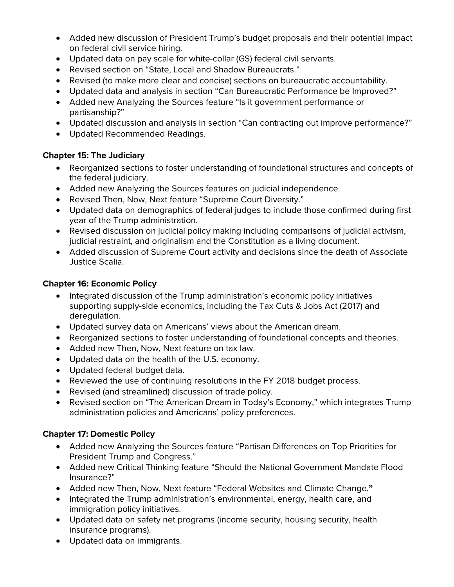- Added new discussion of President Trump's budget proposals and their potential impact on federal civil service hiring.
- Updated data on pay scale for white-collar (GS) federal civil servants.
- Revised section on "State, Local and Shadow Bureaucrats."
- Revised (to make more clear and concise) sections on bureaucratic accountability.
- Updated data and analysis in section "Can Bureaucratic Performance be Improved?"
- Added new Analyzing the Sources feature "Is it government performance or partisanship?"
- Updated discussion and analysis in section "Can contracting out improve performance?"
- Updated Recommended Readings.

### **Chapter 15: The Judiciary**

- Reorganized sections to foster understanding of foundational structures and concepts of the federal judiciary.
- Added new Analyzing the Sources features on judicial independence.
- Revised Then, Now, Next feature "Supreme Court Diversity."
- Updated data on demographics of federal judges to include those confirmed during first year of the Trump administration.
- Revised discussion on judicial policy making including comparisons of judicial activism, judicial restraint, and originalism and the Constitution as a living document.
- Added discussion of Supreme Court activity and decisions since the death of Associate Justice Scalia.

### **Chapter 16: Economic Policy**

- Integrated discussion of the Trump administration's economic policy initiatives supporting supply-side economics, including the Tax Cuts & Jobs Act (2017) and deregulation.
- Updated survey data on Americans' views about the American dream.
- Reorganized sections to foster understanding of foundational concepts and theories.
- Added new Then, Now, Next feature on tax law.
- Updated data on the health of the U.S. economy.
- Updated federal budget data.
- Reviewed the use of continuing resolutions in the FY 2018 budget process.
- Revised (and streamlined) discussion of trade policy.
- Revised section on "The American Dream in Today's Economy," which integrates Trump administration policies and Americans' policy preferences.

## **Chapter 17: Domestic Policy**

- Added new Analyzing the Sources feature "Partisan Differences on Top Priorities for President Trump and Congress."
- Added new Critical Thinking feature "Should the National Government Mandate Flood Insurance?"
- Added new Then, Now, Next feature "Federal Websites and Climate Change.**"**
- Integrated the Trump administration's environmental, energy, health care, and immigration policy initiatives.
- Updated data on safety net programs (income security, housing security, health insurance programs).
- Updated data on immigrants.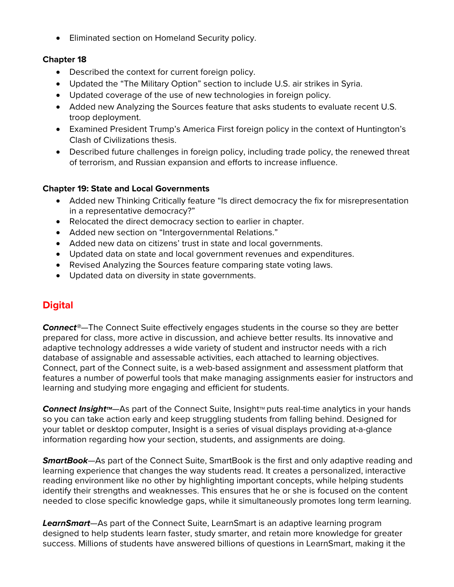• Eliminated section on Homeland Security policy.

#### **Chapter 18**

- Described the context for current foreign policy.
- Updated the "The Military Option" section to include U.S. air strikes in Syria.
- Updated coverage of the use of new technologies in foreign policy.
- Added new Analyzing the Sources feature that asks students to evaluate recent U.S. troop deployment.
- Examined President Trump's America First foreign policy in the context of Huntington's Clash of Civilizations thesis.
- Described future challenges in foreign policy, including trade policy, the renewed threat of terrorism, and Russian expansion and efforts to increase influence.

#### **Chapter 19: State and Local Governments**

- Added new Thinking Critically feature "Is direct democracy the fix for misrepresentation in a representative democracy?"
- Relocated the direct democracy section to earlier in chapter.
- Added new section on "Intergovernmental Relations."
- Added new data on citizens' trust in state and local governments.
- Updated data on state and local government revenues and expenditures.
- Revised Analyzing the Sources feature comparing state voting laws.
- Updated data on diversity in state governments.

# **Digital**

*Connect®*—The Connect Suite effectively engages students in the course so they are better prepared for class, more active in discussion, and achieve better results. Its innovative and adaptive technology addresses a wide variety of student and instructor needs with a rich database of assignable and assessable activities, each attached to learning objectives. Connect, part of the Connect suite, is a web-based assignment and assessment platform that features a number of powerful tools that make managing assignments easier for instructors and learning and studying more engaging and efficient for students.

**Connect Insight**<sup>M</sup>—As part of the Connect Suite, Insight<sup>™</sup> puts real-time analytics in your hands so you can take action early and keep struggling students from falling behind. Designed for your tablet or desktop computer, Insight is a series of visual displays providing at-a-glance information regarding how your section, students, and assignments are doing.

*SmartBook*—As part of the Connect Suite, SmartBook is the first and only adaptive reading and learning experience that changes the way students read. It creates a personalized, interactive reading environment like no other by highlighting important concepts, while helping students identify their strengths and weaknesses. This ensures that he or she is focused on the content needed to close specific knowledge gaps, while it simultaneously promotes long term learning.

*LearnSmart*—As part of the Connect Suite, LearnSmart is an adaptive learning program designed to help students learn faster, study smarter, and retain more knowledge for greater success. Millions of students have answered billions of questions in LearnSmart, making it the